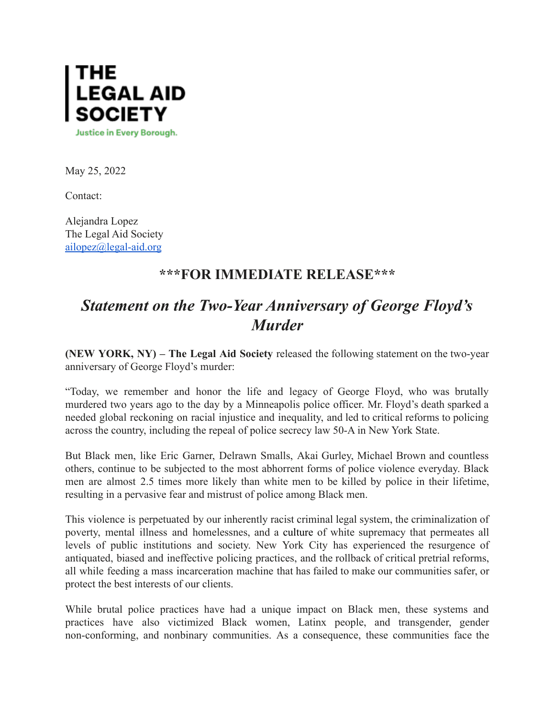

May 25, 2022

Contact:

Alejandra Lopez The Legal Aid Society [ailopez@legal-aid.org](mailto:ailopez@legal-aid.org)

## **\*\*\*FOR IMMEDIATE RELEASE\*\*\***

## *Statement on the Two-Year Anniversary of George Floyd's Murder*

**(NEW YORK, NY) – The Legal Aid Society** released the following statement on the two-year anniversary of George Floyd's murder:

"Today, we remember and honor the life and legacy of George Floyd, who was brutally murdered two years ago to the day by a Minneapolis police officer. Mr. Floyd's death sparked a needed global reckoning on racial injustice and inequality, and led to critical reforms to policing across the country, including the repeal of police secrecy law 50-A in New York State.

But Black men, like Eric Garner, Delrawn Smalls, Akai Gurley, Michael Brown and countless others, continue to be subjected to the most abhorrent forms of police violence everyday. Black men are almost 2.5 times more likely than white men to be killed by police in their lifetime, resulting in a pervasive fear and mistrust of police among Black men.

This violence is perpetuated by our inherently racist criminal legal system, the criminalization of poverty, mental illness and homelessnes, and a culture of white supremacy that permeates all levels of public institutions and society. New York City has experienced the resurgence of antiquated, biased and ineffective policing practices, and the rollback of critical pretrial reforms, all while feeding a mass incarceration machine that has failed to make our communities safer, or protect the best interests of our clients.

While brutal police practices have had a unique impact on Black men, these systems and practices have also victimized Black women, Latinx people, and transgender, gender non-conforming, and nonbinary communities. As a consequence, these communities face the